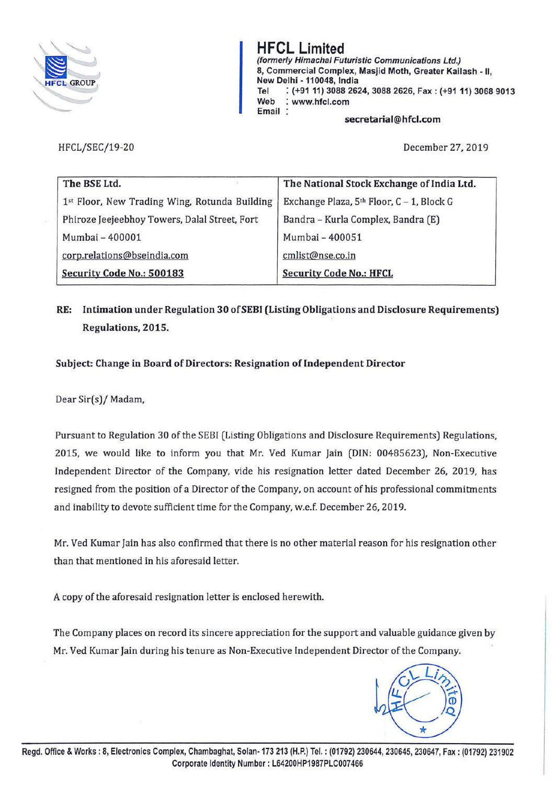

**HFCL Limited (formerly Himachal Futuristic Communications Ltd.)**  8, Commercial **Complex, Masjid Moth, Greater Kailash** - II, New Delhi **-110048, India**  Tel : **(+91** 11) **3088 2624, 3088 2626, Fax: (+9111) 3068 9013 Web** : **www.hfcl.com Email** 

**secretarial@hfcl.com** 

HFCL/SEC/19-20 December 27, 2019

| The BSE Ltd.                                  | The National Stock Exchange of India Ltd. |  |
|-----------------------------------------------|-------------------------------------------|--|
| 1st Floor, New Trading Wing, Rotunda Building | Exchange Plaza, 5th Floor, C - 1, Block G |  |
| Phiroze Jeejeebhoy Towers, Dalal Street, Fort | Bandra - Kurla Complex, Bandra (E)        |  |
| Mumbai - 400001                               | Mumbai - 400051                           |  |
| corp.relations@bseindia.com                   | cmlist@nse.co.in                          |  |
| Security Code No.: 500183                     | <b>Security Code No.: HFCL</b>            |  |

## **RE: Intimation under Regulation 30 of SEBI (Listing Obligations and Disclosure Requirements) Regulations, 2015.**

**Subject: Change in Board of Directors: Resignation of Independent Director** 

Dear Sir(s)/ Madam,

Pursuant to Regulation 30 of the SEBI (Listing Obligations and Disclosure Requirements) Regulations, 2015, we would like to inform you that Mr. Ved Kumar Jain (DIN: 00485623), Non-Executive Independent Director of the Company, vide his resignation letter dated December 26, 2019, has resigned from the position of a Director of the Company, on account of his professional commitments and inability to devote sufficient time for the Company, w.e.f. December 26, 2019.

Mr. Ved Kumar Jain has also confirmed that there is no other material reason for his resignation other than that mentioned in his aforesaid letter.

A copy of the aforesaid resignation letter is enclosed herewith.

The Company places on record its sincere appreciation for the support and valuable guidance given by Mr. Ved Kumar Jain during his tenure as Non-Executive Independent Director of the Company.

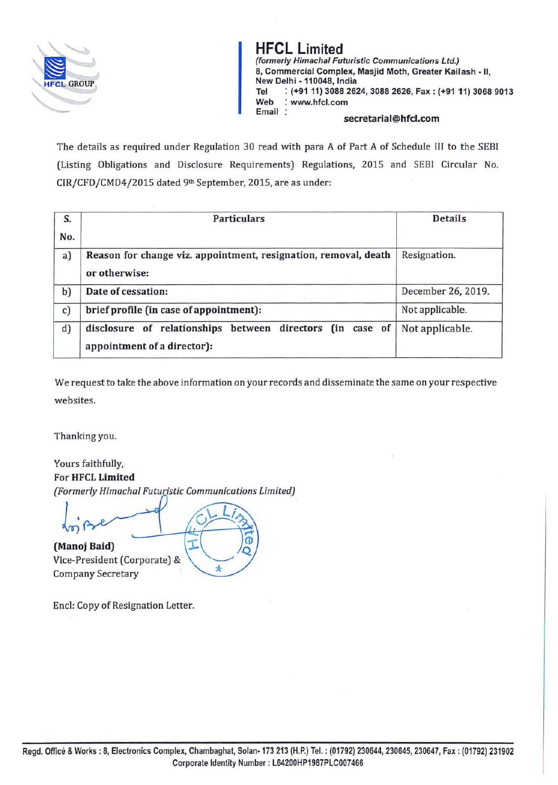

**HFCL Limited (formerly Himachal Futuristic Communications Ltd.)**  8, Commercial **Complex, Masjid Moth, Greater Kailash** - II, **New Delhi** - **110048, India**  Tel : **(+9111) 3088 2624, 3088 2626, Fax: (+9111) 3068 9013 Web** : **www.hfcl.com** 

 $secretarial@hfcl.com$ 

The details as required under Regulation 30 read with para A of Part A of Schedule III to the SEBI (Listing Obligations and Disclosure Requirements) Regulations, 2015 and SEBI Circular No. CIR/CFD/CMD4/2015 dated 9th September, 2015, are as under:

| S.<br>No. | <b>Particulars</b>                                                                       | <b>Details</b>     |
|-----------|------------------------------------------------------------------------------------------|--------------------|
| a)        | Reason for change viz. appointment, resignation, removal, death<br>or otherwise:         | Resignation.       |
| b)        | Date of cessation:                                                                       | December 26, 2019. |
| c)        | brief profile (in case of appointment):                                                  | Not applicable.    |
| d)        | disclosure of relationships between directors (in case of<br>appointment of a director): | Not applicable.    |

We request to take the above information on your records and disseminate the same on your respective websites.

Thanking you.

Yours faithfully, For **HFCL Limited**  *(Formerly Himachal Futuristic Communications limited)* 

÷

Τ **(Manoj Baid)** 

Vice-President (Corporate) & Company Secretary

Encl: Copy of Resignation Letter.